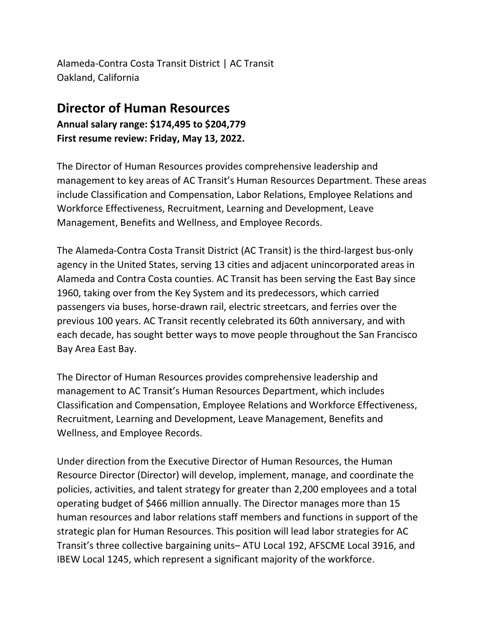Alameda-Contra Costa Transit District | AC Transit Oakland, California

## **Director of Human Resources Annual salary range: \$174,495 to \$204,779 First resume review: Friday, May 13, 2022.**

The Director of Human Resources provides comprehensive leadership and management to key areas of AC Transit's Human Resources Department. These areas include Classification and Compensation, Labor Relations, Employee Relations and Workforce Effectiveness, Recruitment, Learning and Development, Leave Management, Benefits and Wellness, and Employee Records.

The Alameda-Contra Costa Transit District (AC Transit) is the third-largest bus-only agency in the United States, serving 13 cities and adjacent unincorporated areas in Alameda and Contra Costa counties. AC Transit has been serving the East Bay since 1960, taking over from the Key System and its predecessors, which carried passengers via buses, horse-drawn rail, electric streetcars, and ferries over the previous 100 years. AC Transit recently celebrated its 60th anniversary, and with each decade, has sought better ways to move people throughout the San Francisco Bay Area East Bay.

The Director of Human Resources provides comprehensive leadership and management to AC Transit's Human Resources Department, which includes Classification and Compensation, Employee Relations and Workforce Effectiveness, Recruitment, Learning and Development, Leave Management, Benefits and Wellness, and Employee Records.

Under direction from the Executive Director of Human Resources, the Human Resource Director (Director) will develop, implement, manage, and coordinate the policies, activities, and talent strategy for greater than 2,200 employees and a total operating budget of \$466 million annually. The Director manages more than 15 human resources and labor relations staff members and functions in support of the strategic plan for Human Resources. This position will lead labor strategies for AC Transit's three collective bargaining units– ATU Local 192, AFSCME Local 3916, and IBEW Local 1245, which represent a significant majority of the workforce.